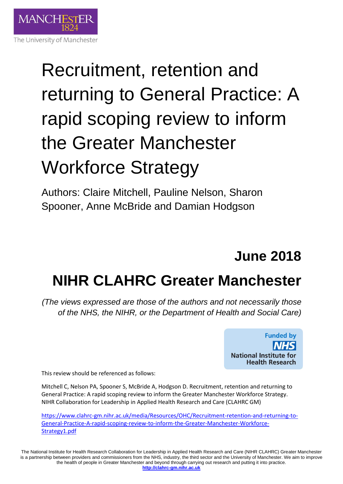

# Recruitment, retention and returning to General Practice: A rapid scoping review to inform the Greater Manchester Workforce Strategy

Authors: Claire Mitchell, Pauline Nelson, Sharon Spooner, Anne McBride and Damian Hodgson

## **June 2018**

## **NIHR CLAHRC Greater Manchester**

*(The views expressed are those of the authors and not necessarily those of the NHS, the NIHR, or the Department of Health and Social Care)*



This review should be referenced as follows:

Mitchell C, Nelson PA, Spooner S, McBride A, Hodgson D. Recruitment, retention and returning to General Practice: A rapid scoping review to inform the Greater Manchester Workforce Strategy. NIHR Collaboration for Leadership in Applied Health Research and Care (CLAHRC GM)

[https://www.clahrc-gm.nihr.ac.uk/media/Resources/OHC/Recruitment-retention-and-returning-to-](https://www.clahrc-gm.nihr.ac.uk/media/Resources/OHC/Recruitment-retention-and-returning-to-General-Practice-A-rapid-scoping-review-to-inform-the-Greater-Manchester-Workforce-Strategy1.pdf)[General-Practice-A-rapid-scoping-review-to-inform-the-Greater-Manchester-Workforce-](https://www.clahrc-gm.nihr.ac.uk/media/Resources/OHC/Recruitment-retention-and-returning-to-General-Practice-A-rapid-scoping-review-to-inform-the-Greater-Manchester-Workforce-Strategy1.pdf)[Strategy1.pdf](https://www.clahrc-gm.nihr.ac.uk/media/Resources/OHC/Recruitment-retention-and-returning-to-General-Practice-A-rapid-scoping-review-to-inform-the-Greater-Manchester-Workforce-Strategy1.pdf)

The National Institute for Health Research Collaboration for Leadership in Applied Health Research and Care (NIHR CLAHRC) Greater Manchester is a partnership between providers and commissioners from the NHS, industry, the third sector and the University of Manchester. We aim to improve the health of people in Greater Manchester and beyond through carrying out research and putting it into practice. **[http://clahrc-gm.nihr.ac.uk](http://clahrc-gm.nihr.ac.uk/)**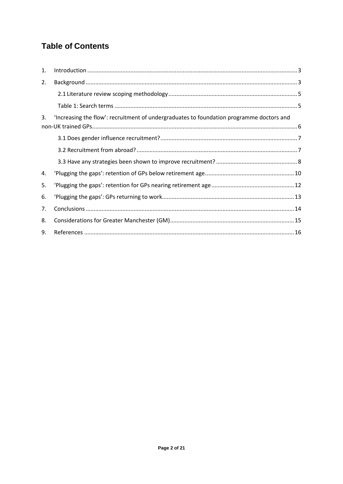## **Table of Contents**

| 1.                                                                                             |  |  |
|------------------------------------------------------------------------------------------------|--|--|
| 2.                                                                                             |  |  |
|                                                                                                |  |  |
|                                                                                                |  |  |
| 'Increasing the flow': recruitment of undergraduates to foundation programme doctors and<br>3. |  |  |
|                                                                                                |  |  |
|                                                                                                |  |  |
|                                                                                                |  |  |
| 4.                                                                                             |  |  |
| 5.                                                                                             |  |  |
| 6.                                                                                             |  |  |
| 7.                                                                                             |  |  |
| 8.                                                                                             |  |  |
| 9.                                                                                             |  |  |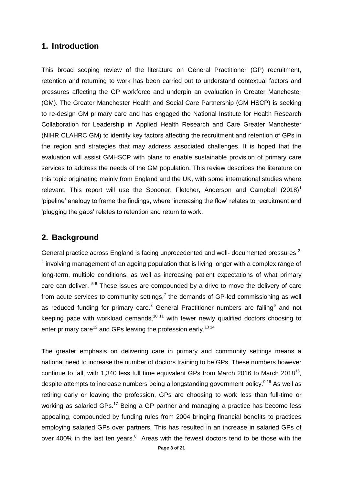#### <span id="page-2-0"></span>**1. Introduction**

This broad scoping review of the literature on General Practitioner (GP) recruitment, retention and returning to work has been carried out to understand contextual factors and pressures affecting the GP workforce and underpin an evaluation in Greater Manchester (GM). The Greater Manchester Health and Social Care Partnership (GM HSCP) is seeking to re-design GM primary care and has engaged the National Institute for Health Research Collaboration for Leadership in Applied Health Research and Care Greater Manchester (NIHR CLAHRC GM) to identify key factors affecting the recruitment and retention of GPs in the region and strategies that may address associated challenges. It is hoped that the evaluation will assist GMHSCP with plans to enable sustainable provision of primary care services to address the needs of the GM population. This review describes the literature on this topic originating mainly from England and the UK, with some international studies where relevant. This report will use the Spooner, Fletcher, Anderson and Campbell  $(2018)^1$ 'pipeline' analogy to frame the findings, where 'increasing the flow' relates to recruitment and 'plugging the gaps' relates to retention and return to work.

#### <span id="page-2-1"></span>**2. Background**

General practice across England is facing unprecedented and well- documented pressures <sup>2-</sup>  $4$  involving management of an ageing population that is living longer with a complex range of long-term, multiple conditions, as well as increasing patient expectations of what primary care can deliver. <sup>56</sup> These issues are compounded by a drive to move the delivery of care from acute services to community settings,<sup>7</sup> the demands of GP-led commissioning as well as reduced funding for primary care. $8$  General Practitioner numbers are falling $9$  and not keeping pace with workload demands,<sup>10 11</sup> with fewer newly qualified doctors choosing to enter primary care<sup>12</sup> and GPs leaving the profession early.<sup>13 14</sup>

The greater emphasis on delivering care in primary and community settings means a national need to increase the number of doctors training to be GPs. These numbers however continue to fall, with 1,340 less full time equivalent GPs from March 2016 to March 2018<sup>15</sup>, despite attempts to increase numbers being a longstanding government policy.<sup>916</sup> As well as retiring early or leaving the profession, GPs are choosing to work less than full-time or working as salaried GPs.<sup>17</sup> Being a GP partner and managing a practice has become less appealing, compounded by funding rules from 2004 bringing financial benefits to practices employing salaried GPs over partners. This has resulted in an increase in salaried GPs of over 400% in the last ten years. $8$  Areas with the fewest doctors tend to be those with the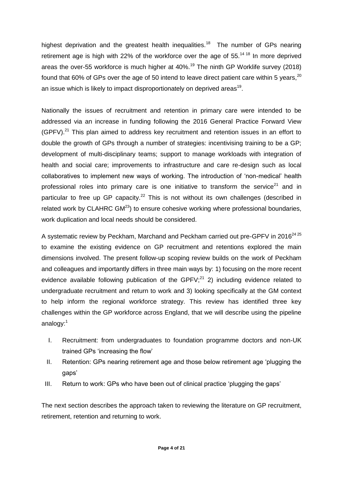highest deprivation and the greatest health inequalities.<sup>18</sup> The number of GPs nearing retirement age is high with 22% of the workforce over the age of  $55<sup>14-18</sup>$  In more deprived areas the over-55 workforce is much higher at  $40\%$ <sup>19</sup> The ninth GP Worklife survey (2018) found that 60% of GPs over the age of 50 intend to leave direct patient care within 5 years, $^{20}$ an issue which is likely to impact disproportionately on deprived areas<sup>19</sup>.

Nationally the issues of recruitment and retention in primary care were intended to be addressed via an increase in funding following the 2016 General Practice Forward View  $(GPFV).<sup>21</sup>$  This plan aimed to address key recruitment and retention issues in an effort to double the growth of GPs through a number of strategies: incentivising training to be a GP; development of multi-disciplinary teams; support to manage workloads with integration of health and social care; improvements to infrastructure and care re-design such as local collaboratives to implement new ways of working. The introduction of 'non-medical' health professional roles into primary care is one initiative to transform the service<sup>21</sup> and in particular to free up GP capacity.<sup>22</sup> This is not without its own challenges (described in related work by CLAHRC  $GM^{23}$ ) to ensure cohesive working where professional boundaries, work duplication and local needs should be considered.

A systematic review by Peckham, Marchand and Peckham carried out pre-GPFV in 2016<sup>24 25</sup> to examine the existing evidence on GP recruitment and retentions explored the main dimensions involved. The present follow-up scoping review builds on the work of Peckham and colleagues and importantly differs in three main ways by: 1) focusing on the more recent evidence available following publication of the GPFV; $^{21}$  2) including evidence related to undergraduate recruitment and return to work and 3) looking specifically at the GM context to help inform the regional workforce strategy. This review has identified three key challenges within the GP workforce across England, that we will describe using the pipeline analogy:<sup>1</sup>

- I. Recruitment: from undergraduates to foundation programme doctors and non-UK trained GPs 'increasing the flow'
- II. Retention: GPs nearing retirement age and those below retirement age 'plugging the gaps'
- III. Return to work: GPs who have been out of clinical practice 'plugging the gaps'

The next section describes the approach taken to reviewing the literature on GP recruitment, retirement, retention and returning to work.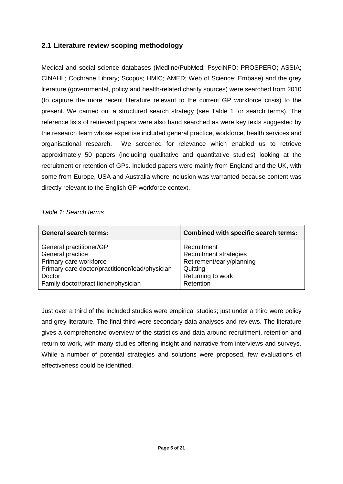#### <span id="page-4-0"></span>**2.1 Literature review scoping methodology**

Medical and social science databases (Medline/PubMed; PsycINFO; PROSPERO; ASSIA; CINAHL; Cochrane Library; Scopus; HMIC; AMED; Web of Science; Embase) and the grey literature (governmental, policy and health-related charity sources) were searched from 2010 (to capture the more recent literature relevant to the current GP workforce crisis) to the present. We carried out a structured search strategy (see Table 1 for search terms). The reference lists of retrieved papers were also hand searched as were key texts suggested by the research team whose expertise included general practice, workforce, health services and organisational research. We screened for relevance which enabled us to retrieve approximately 50 papers (including qualitative and quantitative studies) looking at the recruitment or retention of GPs. Included papers were mainly from England and the UK, with some from Europe, USA and Australia where inclusion was warranted because content was directly relevant to the English GP workforce context.

<span id="page-4-1"></span>*Table 1: Search terms*

| <b>General search terms:</b>                    | Combined with specific search terms: |
|-------------------------------------------------|--------------------------------------|
| General practitioner/GP                         | Recruitment                          |
| General practice                                | Recruitment strategies               |
| Primary care workforce                          | Retirement/early/planning            |
| Primary care doctor/practitioner/lead/physician | Quitting                             |
| Doctor                                          | Returning to work                    |
| Family doctor/practitioner/physician            | Retention                            |

Just over a third of the included studies were empirical studies; just under a third were policy and grey literature. The final third were secondary data analyses and reviews. The literature gives a comprehensive overview of the statistics and data around recruitment, retention and return to work, with many studies offering insight and narrative from interviews and surveys. While a number of potential strategies and solutions were proposed, few evaluations of effectiveness could be identified.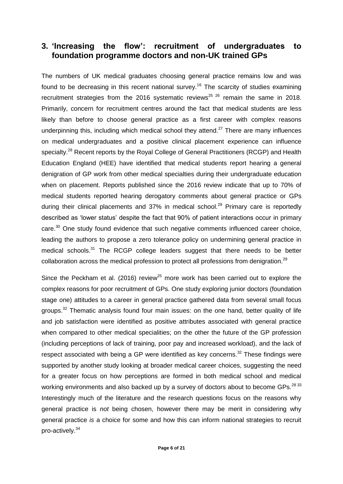## <span id="page-5-0"></span>**3. 'Increasing the flow': recruitment of undergraduates to foundation programme doctors and non-UK trained GPs**

The numbers of UK medical graduates choosing general practice remains low and was found to be decreasing in this recent national survey.<sup>16</sup> The scarcity of studies examining recruitment strategies from the 2016 systematic reviews<sup>25 26</sup> remain the same in 2018. Primarily, concern for recruitment centres around the fact that medical students are less likely than before to choose general practice as a first career with complex reasons underpinning this, including which medical school they attend.<sup>27</sup> There are many influences on medical undergraduates and a positive clinical placement experience can influence specialty.<sup>28</sup> Recent reports by the Royal College of General Practitioners (RCGP) and Health Education England (HEE) have identified that medical students report hearing a general denigration of GP work from other medical specialties during their undergraduate education when on placement. Reports published since the 2016 review indicate that up to 70% of medical students reported hearing derogatory comments about general practice or GPs during their clinical placements and 37% in medical school.<sup>29</sup> Primary care is reportedly described as 'lower status' despite the fact that 90% of patient interactions occur in primary care.<sup>30</sup> One study found evidence that such negative comments influenced career choice, leading the authors to propose a zero tolerance policy on undermining general practice in medical schools.<sup>31</sup> The RCGP college leaders suggest that there needs to be better collaboration across the medical profession to protect all professions from denigration.<sup>29</sup>

Since the Peckham et al. (2016) review<sup>25</sup> more work has been carried out to explore the complex reasons for poor recruitment of GPs. One study exploring junior doctors (foundation stage one) attitudes to a career in general practice gathered data from several small focus groups.<sup>32</sup> Thematic analysis found four main issues: on the one hand, better quality of life and job satisfaction were identified as positive attributes associated with general practice when compared to other medical specialities; on the other the future of the GP profession (including perceptions of lack of training, poor pay and increased workload), and the lack of respect associated with being a GP were identified as key concerns.<sup>32</sup> These findings were supported by another study looking at broader medical career choices, suggesting the need for a greater focus on how perceptions are formed in both medical school and medical working environments and also backed up by a survey of doctors about to become GPs.  $^{28\,33}$ Interestingly much of the literature and the research questions focus on the reasons why general practice is *not* being chosen, however there may be merit in considering why general practice *is* a choice for some and how this can inform national strategies to recruit pro-actively.<sup>34</sup>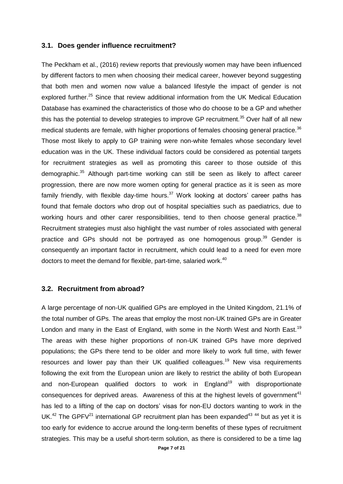#### <span id="page-6-0"></span>**3.1. Does gender influence recruitment?**

The Peckham et al., (2016) review reports that previously women may have been influenced by different factors to men when choosing their medical career, however beyond suggesting that both men and women now value a balanced lifestyle the impact of gender is not explored further.<sup>25</sup> Since that review additional information from the UK Medical Education Database has examined the characteristics of those who do choose to be a GP and whether this has the potential to develop strategies to improve GP recruitment.<sup>35</sup> Over half of all new medical students are female, with higher proportions of females choosing general practice.<sup>36</sup> Those most likely to apply to GP training were non-white females whose secondary level education was in the UK. These individual factors could be considered as potential targets for recruitment strategies as well as promoting this career to those outside of this demographic.<sup>35</sup> Although part-time working can still be seen as likely to affect career progression, there are now more women opting for general practice as it is seen as more family friendly, with flexible day-time hours.<sup>37</sup> Work looking at doctors' career paths has found that female doctors who drop out of hospital specialties such as paediatrics, due to working hours and other carer responsibilities, tend to then choose general practice. $38$ Recruitment strategies must also highlight the vast number of roles associated with general practice and GPs should not be portrayed as one homogenous group.<sup>39</sup> Gender is consequently an important factor in recruitment, which could lead to a need for even more doctors to meet the demand for flexible, part-time, salaried work.<sup>40</sup>

#### <span id="page-6-1"></span>**3.2. Recruitment from abroad?**

A large percentage of non-UK qualified GPs are employed in the United Kingdom, 21.1% of the total number of GPs. The areas that employ the most non-UK trained GPs are in Greater London and many in the East of England, with some in the North West and North East.<sup>19</sup> The areas with these higher proportions of non-UK trained GPs have more deprived populations; the GPs there tend to be older and more likely to work full time, with fewer resources and lower pay than their UK qualified colleagues.<sup>19</sup> New visa requirements following the exit from the European union are likely to restrict the ability of both European and non-European qualified doctors to work in England<sup>19</sup> with disproportionate consequences for deprived areas. Awareness of this at the highest levels of government<sup>41</sup> has led to a lifting of the cap on doctors' visas for non-EU doctors wanting to work in the UK.<sup>42</sup> The GPFV<sup>21</sup> international GP recruitment plan has been expanded<sup>43 44</sup> but as yet it is too early for evidence to accrue around the long-term benefits of these types of recruitment strategies. This may be a useful short-term solution, as there is considered to be a time lag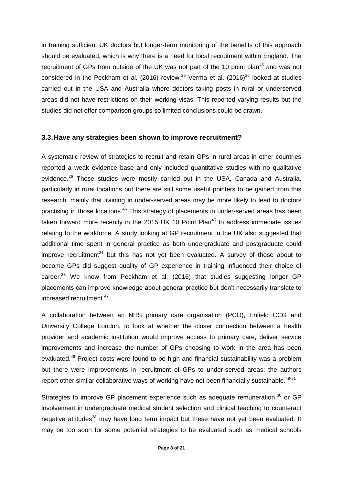in training sufficient UK doctors but longer-term monitoring of the benefits of this approach should be evaluated, which is why there is a need for local recruitment within England. The recruitment of GPs from outside of the UK was not part of the 10 point plan<sup>45</sup> and was not considered in the Peckham et al. (2016) review.<sup>25</sup> Verma et al. (2016)<sup>26</sup> looked at studies carried out in the USA and Australia where doctors taking posts in rural or underserved areas did not have restrictions on their working visas. This reported varying results but the studies did not offer comparison groups so limited conclusions could be drawn.

#### <span id="page-7-0"></span>**3.3.Have any strategies been shown to improve recruitment?**

A systematic review of strategies to recruit and retain GPs in rural areas in other countries reported a weak evidence base and only included quantitative studies with no qualitative evidence.<sup>26</sup> These studies were mostly carried out in the USA, Canada and Australia, particularly in rural locations but there are still some useful pointers to be gained from this research; mainly that training in under-served areas may be more likely to lead to doctors practising in those locations.<sup>46</sup> This strategy of placements in under-served areas has been taken forward more recently in the 2015 UK 10 Point Plan<sup>45</sup> to address immediate issues relating to the workforce. A study looking at GP recruitment in the UK also suggested that additional time spent in general practice as both undergraduate and postgraduate could improve recruitment $31$  but this has not yet been evaluated. A survey of those about to become GPs did suggest quality of GP experience in training influenced their choice of career.<sup>33</sup> We know from Peckham et al. (2016) that studies suggesting longer GP placements can improve knowledge about general practice but don't necessarily translate to increased recruitment.<sup>47</sup>

A collaboration between an NHS primary care organisation (PCO), Enfield CCG and University College London, to look at whether the closer connection between a health provider and academic institution would improve access to primary care, deliver service improvements and increase the number of GPs choosing to work in the area has been evaluated.<sup>48</sup> Project costs were found to be high and financial sustainability was a problem but there were improvements in recruitment of GPs to under-served areas; the authors report other similar collaborative ways of working have not been financially sustainable.<sup>49-51</sup>

Strategies to improve GP placement experience such as adequate remuneration, $30$  or GP involvement in undergraduate medical student selection and clinical teaching to counteract negative attitudes<sup>28</sup> may have long term impact but these have not yet been evaluated. It may be too soon for some potential strategies to be evaluated such as medical schools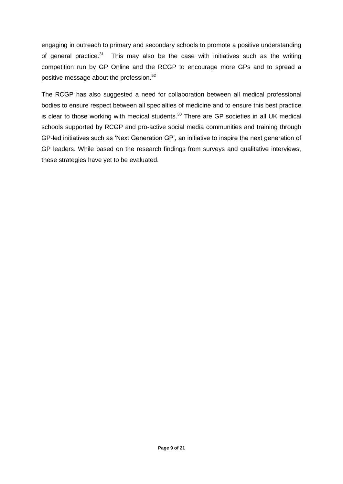engaging in outreach to primary and secondary schools to promote a positive understanding of general practice. $31$  This may also be the case with initiatives such as the writing competition run by GP Online and the RCGP to encourage more GPs and to spread a positive message about the profession.<sup>52</sup>

The RCGP has also suggested a need for collaboration between all medical professional bodies to ensure respect between all specialties of medicine and to ensure this best practice is clear to those working with medical students. $30$  There are GP societies in all UK medical schools supported by RCGP and pro-active social media communities and training through GP-led initiatives such as 'Next Generation GP', an initiative to inspire the next generation of GP leaders. While based on the research findings from surveys and qualitative interviews, these strategies have yet to be evaluated.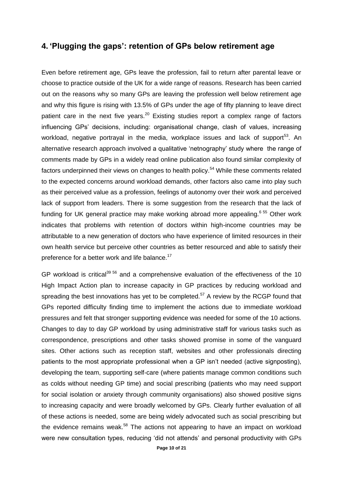#### <span id="page-9-0"></span>**4. 'Plugging the gaps': retention of GPs below retirement age**

Even before retirement age, GPs leave the profession, fail to return after parental leave or choose to practice outside of the UK for a wide range of reasons. Research has been carried out on the reasons why so many GPs are leaving the profession well below retirement age and why this figure is rising with 13.5% of GPs under the age of fifty planning to leave direct patient care in the next five years.<sup>20</sup> Existing studies report a complex range of factors influencing GPs' decisions, including: organisational change, clash of values, increasing workload, negative portrayal in the media, workplace issues and lack of support<sup>53</sup>. An alternative research approach involved a qualitative 'netnography' study where the range of comments made by GPs in a widely read online publication also found similar complexity of factors underpinned their views on changes to health policy.<sup>54</sup> While these comments related to the expected concerns around workload demands, other factors also came into play such as their perceived value as a profession, feelings of autonomy over their work and perceived lack of support from leaders. There is some suggestion from the research that the lack of funding for UK general practice may make working abroad more appealing.<sup>6 55</sup> Other work indicates that problems with retention of doctors within high-income countries may be attributable to a new generation of doctors who have experience of limited resources in their own health service but perceive other countries as better resourced and able to satisfy their preference for a better work and life balance.<sup>17</sup>

GP workload is critical<sup>39 56</sup> and a comprehensive evaluation of the effectiveness of the 10 High Impact Action plan to increase capacity in GP practices by reducing workload and spreading the best innovations has yet to be completed.<sup>57</sup> A review by the RCGP found that GPs reported difficulty finding time to implement the actions due to immediate workload pressures and felt that stronger supporting evidence was needed for some of the 10 actions. Changes to day to day GP workload by using administrative staff for various tasks such as correspondence, prescriptions and other tasks showed promise in some of the vanguard sites. Other actions such as reception staff, websites and other professionals directing patients to the most appropriate professional when a GP isn't needed (active signposting), developing the team, supporting self-care (where patients manage common conditions such as colds without needing GP time) and social prescribing (patients who may need support for social isolation or anxiety through community organisations) also showed positive signs to increasing capacity and were broadly welcomed by GPs. Clearly further evaluation of all of these actions is needed, some are being widely advocated such as social prescribing but the evidence remains weak. $58$  The actions not appearing to have an impact on workload were new consultation types, reducing 'did not attends' and personal productivity with GPs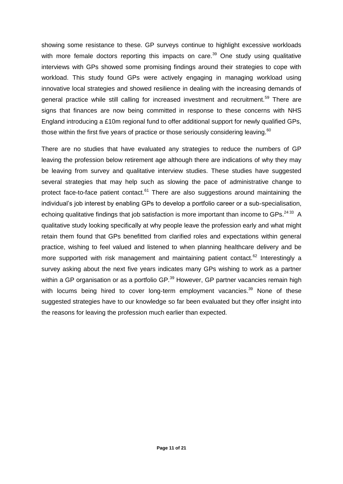showing some resistance to these. GP surveys continue to highlight excessive workloads with more female doctors reporting this impacts on care.<sup>39</sup> One study using qualitative interviews with GPs showed some promising findings around their strategies to cope with workload. This study found GPs were actively engaging in managing workload using innovative local strategies and showed resilience in dealing with the increasing demands of general practice while still calling for increased investment and recruitment.<sup>59</sup> There are signs that finances are now being committed in response to these concerns with NHS England introducing a £10m regional fund to offer additional support for newly qualified GPs, those within the first five years of practice or those seriously considering leaving. $60$ 

There are no studies that have evaluated any strategies to reduce the numbers of GP leaving the profession below retirement age although there are indications of why they may be leaving from survey and qualitative interview studies. These studies have suggested several strategies that may help such as slowing the pace of administrative change to protect face-to-face patient contact.<sup>61</sup> There are also suggestions around maintaining the individual's job interest by enabling GPs to develop a portfolio career or a sub-specialisation, echoing qualitative findings that job satisfaction is more important than income to GPs. $^{24\,33}$  A qualitative study looking specifically at why people leave the profession early and what might retain them found that GPs benefitted from clarified roles and expectations within general practice, wishing to feel valued and listened to when planning healthcare delivery and be more supported with risk management and maintaining patient contact.<sup>62</sup> Interestingly a survey asking about the next five years indicates many GPs wishing to work as a partner within a GP organisation or as a portfolio GP.<sup>39</sup> However, GP partner vacancies remain high with locums being hired to cover long-term employment vacancies.<sup>39</sup> None of these suggested strategies have to our knowledge so far been evaluated but they offer insight into the reasons for leaving the profession much earlier than expected.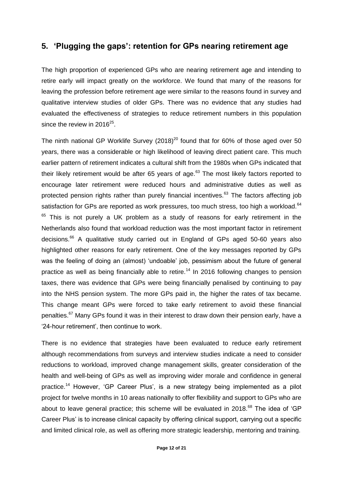### <span id="page-11-0"></span>**5. 'Plugging the gaps': retention for GPs nearing retirement age**

The high proportion of experienced GPs who are nearing retirement age and intending to retire early will impact greatly on the workforce. We found that many of the reasons for leaving the profession before retirement age were similar to the reasons found in survey and qualitative interview studies of older GPs. There was no evidence that any studies had evaluated the effectiveness of strategies to reduce retirement numbers in this population since the review in 2016 $25$ .

The ninth national GP Worklife Survey  $(2018)^{20}$  found that for 60% of those aged over 50 years, there was a considerable or high likelihood of leaving direct patient care. This much earlier pattern of retirement indicates a cultural shift from the 1980s when GPs indicated that their likely retirement would be after 65 years of age. $63$  The most likely factors reported to encourage later retirement were reduced hours and administrative duties as well as protected pension rights rather than purely financial incentives. $63$  The factors affecting job satisfaction for GPs are reported as work pressures, too much stress, too high a workload.<sup>64</sup>  $65$  This is not purely a UK problem as a study of reasons for early retirement in the Netherlands also found that workload reduction was the most important factor in retirement decisions.<sup>66</sup> A qualitative study carried out in England of GPs aged 50-60 years also highlighted other reasons for early retirement. One of the key messages reported by GPs was the feeling of doing an (almost) 'undoable' job, pessimism about the future of general practice as well as being financially able to retire.<sup>14</sup> In 2016 following changes to pension taxes, there was evidence that GPs were being financially penalised by continuing to pay into the NHS pension system. The more GPs paid in, the higher the rates of tax became. This change meant GPs were forced to take early retirement to avoid these financial penalties.<sup>67</sup> Many GPs found it was in their interest to draw down their pension early, have a '24-hour retirement', then continue to work.

There is no evidence that strategies have been evaluated to reduce early retirement although recommendations from surveys and interview studies indicate a need to consider reductions to workload, improved change management skills, greater consideration of the health and well-being of GPs as well as improving wider morale and confidence in general practice.<sup>14</sup> However, 'GP Career Plus', is a new strategy being implemented as a pilot project for twelve months in 10 areas nationally to offer flexibility and support to GPs who are about to leave general practice; this scheme will be evaluated in 2018. $^{68}$  The idea of 'GP Career Plus' is to increase clinical capacity by offering clinical support, carrying out a specific and limited clinical role, as well as offering more strategic leadership, mentoring and training.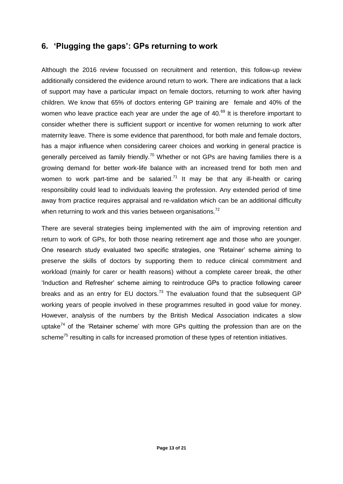## <span id="page-12-0"></span>**6. 'Plugging the gaps': GPs returning to work**

Although the 2016 review focussed on recruitment and retention, this follow-up review additionally considered the evidence around return to work. There are indications that a lack of support may have a particular impact on female doctors, returning to work after having children. We know that 65% of doctors entering GP training are female and 40% of the women who leave practice each year are under the age of 40. $^{69}$  It is therefore important to consider whether there is sufficient support or incentive for women returning to work after maternity leave. There is some evidence that parenthood, for both male and female doctors, has a major influence when considering career choices and working in general practice is generally perceived as family friendly.<sup>70</sup> Whether or not GPs are having families there is a growing demand for better work-life balance with an increased trend for both men and women to work part-time and be salaried.<sup>71</sup> It may be that any ill-health or caring responsibility could lead to individuals leaving the profession. Any extended period of time away from practice requires appraisal and re-validation which can be an additional difficulty when returning to work and this varies between organisations.<sup>72</sup>

There are several strategies being implemented with the aim of improving retention and return to work of GPs, for both those nearing retirement age and those who are younger. One research study evaluated two specific strategies, one 'Retainer' scheme aiming to preserve the skills of doctors by supporting them to reduce clinical commitment and workload (mainly for carer or health reasons) without a complete career break, the other 'Induction and Refresher' scheme aiming to reintroduce GPs to practice following career breaks and as an entry for EU doctors.<sup>73</sup> The evaluation found that the subsequent GP working years of people involved in these programmes resulted in good value for money. However, analysis of the numbers by the British Medical Association indicates a slow uptake<sup>74</sup> of the 'Retainer scheme' with more GPs quitting the profession than are on the scheme<sup>75</sup> resulting in calls for increased promotion of these types of retention initiatives.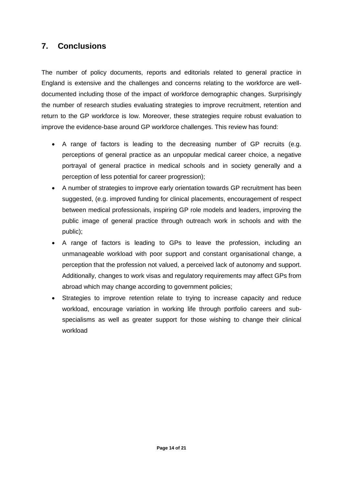## <span id="page-13-0"></span>**7. Conclusions**

The number of policy documents, reports and editorials related to general practice in England is extensive and the challenges and concerns relating to the workforce are welldocumented including those of the impact of workforce demographic changes. Surprisingly the number of research studies evaluating strategies to improve recruitment, retention and return to the GP workforce is low. Moreover, these strategies require robust evaluation to improve the evidence-base around GP workforce challenges. This review has found:

- A range of factors is leading to the decreasing number of GP recruits (e.g. perceptions of general practice as an unpopular medical career choice, a negative portrayal of general practice in medical schools and in society generally and a perception of less potential for career progression);
- A number of strategies to improve early orientation towards GP recruitment has been suggested, (e.g. improved funding for clinical placements, encouragement of respect between medical professionals, inspiring GP role models and leaders, improving the public image of general practice through outreach work in schools and with the public);
- A range of factors is leading to GPs to leave the profession, including an unmanageable workload with poor support and constant organisational change, a perception that the profession not valued, a perceived lack of autonomy and support. Additionally, changes to work visas and regulatory requirements may affect GPs from abroad which may change according to government policies;
- Strategies to improve retention relate to trying to increase capacity and reduce workload, encourage variation in working life through portfolio careers and subspecialisms as well as greater support for those wishing to change their clinical workload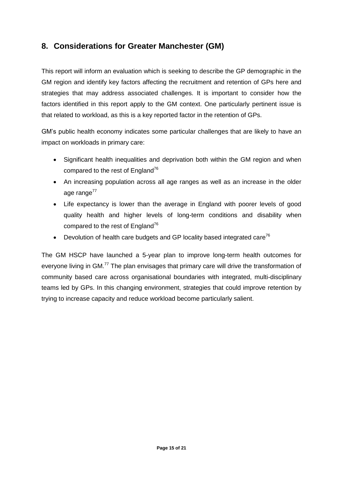## <span id="page-14-0"></span>**8. Considerations for Greater Manchester (GM)**

This report will inform an evaluation which is seeking to describe the GP demographic in the GM region and identify key factors affecting the recruitment and retention of GPs here and strategies that may address associated challenges. It is important to consider how the factors identified in this report apply to the GM context. One particularly pertinent issue is that related to workload, as this is a key reported factor in the retention of GPs.

GM's public health economy indicates some particular challenges that are likely to have an impact on workloads in primary care:

- Significant health inequalities and deprivation both within the GM region and when compared to the rest of England<sup>76</sup>
- An increasing population across all age ranges as well as an increase in the older age range $^{77}$
- Life expectancy is lower than the average in England with poorer levels of good quality health and higher levels of long-term conditions and disability when compared to the rest of England<sup>76</sup>
- **•** Devolution of health care budgets and GP locality based integrated care<sup>76</sup>

The GM HSCP have launched a 5-year plan to improve long-term health outcomes for everyone living in GM.<sup>77</sup> The plan envisages that primary care will drive the transformation of community based care across organisational boundaries with integrated, multi-disciplinary teams led by GPs. In this changing environment, strategies that could improve retention by trying to increase capacity and reduce workload become particularly salient.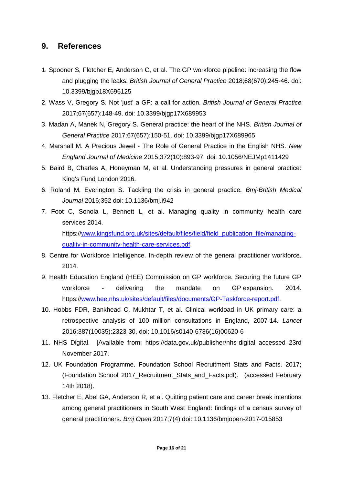### <span id="page-15-0"></span>**9. References**

- 1. Spooner S, Fletcher E, Anderson C, et al. The GP workforce pipeline: increasing the flow and plugging the leaks. *British Journal of General Practice* 2018;68(670):245-46. doi: 10.3399/bjgp18X696125
- 2. Wass V, Gregory S. Not 'just' a GP: a call for action. *British Journal of General Practice* 2017;67(657):148-49. doi: 10.3399/bjgp17X689953
- 3. Madan A, Manek N, Gregory S. General practice: the heart of the NHS. *British Journal of General Practice* 2017;67(657):150-51. doi: 10.3399/bjgp17X689965
- 4. Marshall M. A Precious Jewel The Role of General Practice in the English NHS. *New England Journal of Medicine* 2015;372(10):893-97. doi: 10.1056/NEJMp1411429
- 5. Baird B, Charles A, Honeyman M, et al. Understanding pressures in general practice: King's Fund London 2016.
- 6. Roland M, Everington S. Tackling the crisis in general practice. *Bmj-British Medical Journal* 2016;352 doi: 10.1136/bmj.i942
- 7. Foot C, Sonola L, Bennett L, et al. Managing quality in community health care services 2014. https:/[/www.kingsfund.org.uk/sites/default/files/field/field\\_publication\\_file/managing](http://www.kingsfund.org.uk/sites/default/files/field/field_publication_file/managing-quality-in-community-health-care-services.pdf)[quality-in-community-health-care-services.pdf.](http://www.kingsfund.org.uk/sites/default/files/field/field_publication_file/managing-quality-in-community-health-care-services.pdf)
- 8. Centre for Workforce Intelligence. In-depth review of the general practitioner workforce. 2014.
- 9. Health Education England (HEE) Commission on GP workforce. Securing the future GP workforce - delivering the mandate on GP expansion. 2014. https:/[/www.hee.nhs.uk/sites/default/files/documents/GP-Taskforce-report.pdf.](http://www.hee.nhs.uk/sites/default/files/documents/GP-Taskforce-report.pdf)
- 10. Hobbs FDR, Bankhead C, Mukhtar T, et al. Clinical workload in UK primary care: a retrospective analysis of 100 million consultations in England, 2007-14. *Lancet* 2016;387(10035):2323-30. doi: 10.1016/s0140-6736(16)00620-6
- 11. NHS Digital. [Available from: https://data.gov.uk/publisher/nhs-digital accessed 23rd November 2017.
- 12. UK Foundation Programme. Foundation School Recruitment Stats and Facts. 2017; (Foundation School 2017\_Recruitment\_Stats\_and\_Facts.pdf). (accessed February 14th 2018).
- 13. Fletcher E, Abel GA, Anderson R, et al. Quitting patient care and career break intentions among general practitioners in South West England: findings of a census survey of general practitioners. *Bmj Open* 2017;7(4) doi: 10.1136/bmjopen-2017-015853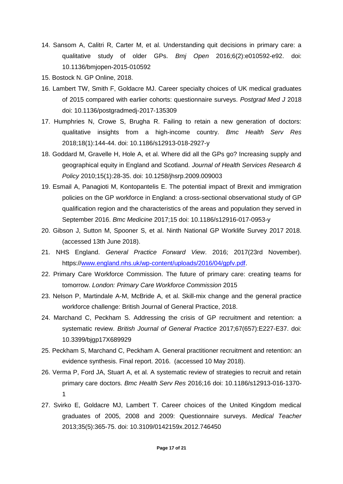- 14. Sansom A, Calitri R, Carter M, et al. Understanding quit decisions in primary care: a qualitative study of older GPs. *Bmj Open* 2016;6(2):e010592-e92. doi: 10.1136/bmjopen-2015-010592
- 15. Bostock N. GP Online, 2018.
- 16. Lambert TW, Smith F, Goldacre MJ. Career specialty choices of UK medical graduates of 2015 compared with earlier cohorts: questionnaire surveys. *Postgrad Med J* 2018 doi: 10.1136/postgradmedj-2017-135309
- 17. Humphries N, Crowe S, Brugha R. Failing to retain a new generation of doctors: qualitative insights from a high-income country. *Bmc Health Serv Res* 2018;18(1):144-44. doi: 10.1186/s12913-018-2927-y
- 18. Goddard M, Gravelle H, Hole A, et al. Where did all the GPs go? Increasing supply and geographical equity in England and Scotland. *Journal of Health Services Research & Policy* 2010;15(1):28-35. doi: 10.1258/jhsrp.2009.009003
- 19. Esmail A, Panagioti M, Kontopantelis E. The potential impact of Brexit and immigration policies on the GP workforce in England: a cross-sectional observational study of GP qualification region and the characteristics of the areas and population they served in September 2016. *Bmc Medicine* 2017;15 doi: 10.1186/s12916-017-0953-y
- 20. Gibson J, Sutton M, Spooner S, et al. Ninth National GP Worklife Survey 2017 2018. (accessed 13th June 2018).
- 21. NHS England. *General Practice Forward View*. 2016; 2017(23rd November). https:/[/www.england.nhs.uk/wp-content/uploads/2016/04/gpfv.pdf.](http://www.england.nhs.uk/wp-content/uploads/2016/04/gpfv.pdf)
- 22. Primary Care Workforce Commission. The future of primary care: creating teams for tomorrow. *London: Primary Care Workforce Commission* 2015
- 23. Nelson P, Martindale A-M, McBride A, et al. Skill-mix change and the general practice workforce challenge: British Journal of General Practice, 2018.
- 24. Marchand C, Peckham S. Addressing the crisis of GP recruitment and retention: a systematic review. *British Journal of General Practice* 2017;67(657):E227-E37. doi: 10.3399/bjgp17X689929
- 25. Peckham S, Marchand C, Peckham A. General practitioner recruitment and retention: an evidence synthesis. Final report. 2016. (accessed 10 May 2018).
- 26. Verma P, Ford JA, Stuart A, et al. A systematic review of strategies to recruit and retain primary care doctors. *Bmc Health Serv Res* 2016;16 doi: 10.1186/s12913-016-1370- 1
- 27. Svirko E, Goldacre MJ, Lambert T. Career choices of the United Kingdom medical graduates of 2005, 2008 and 2009: Questionnaire surveys. *Medical Teacher* 2013;35(5):365-75. doi: 10.3109/0142159x.2012.746450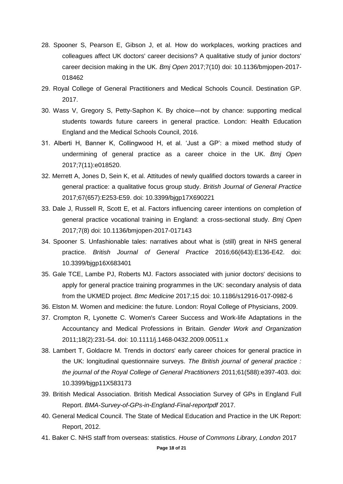- 28. Spooner S, Pearson E, Gibson J, et al. How do workplaces, working practices and colleagues affect UK doctors' career decisions? A qualitative study of junior doctors' career decision making in the UK. *Bmj Open* 2017;7(10) doi: 10.1136/bmjopen-2017- 018462
- 29. Royal College of General Practitioners and Medical Schools Council. Destination GP. 2017.
- 30. Wass V, Gregory S, Petty-Saphon K. By choice—not by chance: supporting medical students towards future careers in general practice. London: Health Education England and the Medical Schools Council, 2016.
- 31. Alberti H, Banner K, Collingwood H, et al. 'Just a GP': a mixed method study of undermining of general practice as a career choice in the UK. *Bmj Open* 2017;7(11):e018520.
- 32. Merrett A, Jones D, Sein K, et al. Attitudes of newly qualified doctors towards a career in general practice: a qualitative focus group study. *British Journal of General Practice* 2017;67(657):E253-E59. doi: 10.3399/bjgp17X690221
- 33. Dale J, Russell R, Scott E, et al. Factors influencing career intentions on completion of general practice vocational training in England: a cross-sectional study. *Bmj Open* 2017;7(8) doi: 10.1136/bmjopen-2017-017143
- 34. Spooner S. Unfashionable tales: narratives about what is (still) great in NHS general practice. *British Journal of General Practice* 2016;66(643):E136-E42. doi: 10.3399/bjgp16X683401
- 35. Gale TCE, Lambe PJ, Roberts MJ. Factors associated with junior doctors' decisions to apply for general practice training programmes in the UK: secondary analysis of data from the UKMED project. *Bmc Medicine* 2017;15 doi: 10.1186/s12916-017-0982-6
- 36. Elston M. Women and medicine: the future. London: Royal College of Physicians, 2009.
- 37. Crompton R, Lyonette C. Women's Career Success and Work-life Adaptations in the Accountancy and Medical Professions in Britain. *Gender Work and Organization* 2011;18(2):231-54. doi: 10.1111/j.1468-0432.2009.00511.x
- 38. Lambert T, Goldacre M. Trends in doctors' early career choices for general practice in the UK: longitudinal questionnaire surveys. *The British journal of general practice : the journal of the Royal College of General Practitioners* 2011;61(588):e397-403. doi: 10.3399/bjgp11X583173
- 39. British Medical Association. British Medical Association Survey of GPs in England Full Report. *BMA-Survey-of-GPs-in-England-Final-reportpdf* 2017.
- 40. General Medical Council. The State of Medical Education and Practice in the UK Report: Report, 2012.
- 41. Baker C. NHS staff from overseas: statistics. *House of Commons Library, London* 2017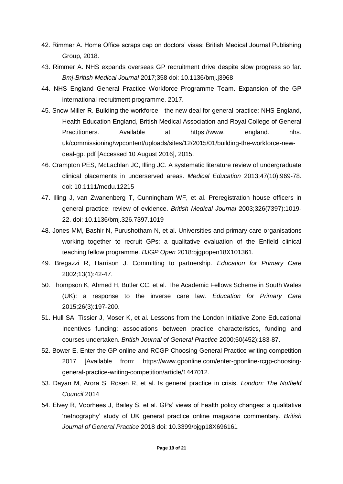- 42. Rimmer A. Home Office scraps cap on doctors' visas: British Medical Journal Publishing Group, 2018.
- 43. Rimmer A. NHS expands overseas GP recruitment drive despite slow progress so far. *Bmj-British Medical Journal* 2017;358 doi: 10.1136/bmj.j3968
- 44. NHS England General Practice Workforce Programme Team. Expansion of the GP international recruitment programme. 2017.
- 45. Snow-Miller R. Building the workforce—the new deal for general practice: NHS England, Health Education England, British Medical Association and Royal College of General Practitioners. Available at https://www. england. nhs. uk/commissioning/wpcontent/uploads/sites/12/2015/01/building-the-workforce-newdeal-gp. pdf [Accessed 10 August 2016], 2015.
- 46. Crampton PES, McLachlan JC, Illing JC. A systematic literature review of undergraduate clinical placements in underserved areas. *Medical Education* 2013;47(10):969-78. doi: 10.1111/medu.12215
- 47. Illing J, van Zwanenberg T, Cunningham WF, et al. Preregistration house officers in general practice: review of evidence. *British Medical Journal* 2003;326(7397):1019- 22. doi: 10.1136/bmj.326.7397.1019
- 48. Jones MM, Bashir N, Purushotham N, et al. Universities and primary care organisations working together to recruit GPs: a qualitative evaluation of the Enfield clinical teaching fellow programme. *BJGP Open* 2018:bjgpopen18X101361.
- 49. Bregazzi R, Harrison J. Committing to partnership. *Education for Primary Care* 2002;13(1):42-47.
- 50. Thompson K, Ahmed H, Butler CC, et al. The Academic Fellows Scheme in South Wales (UK): a response to the inverse care law. *Education for Primary Care* 2015;26(3):197-200.
- 51. Hull SA, Tissier J, Moser K, et al. Lessons from the London Initiative Zone Educational Incentives funding: associations between practice characteristics, funding and courses undertaken. *British Journal of General Practice* 2000;50(452):183-87.
- 52. Bower E. Enter the GP online and RCGP Choosing General Practice writing competition 2017 [Available from: https://www.gponline.com/enter-gponline-rcgp-choosinggeneral-practice-writing-competition/article/1447012.
- 53. Dayan M, Arora S, Rosen R, et al. Is general practice in crisis. *London: The Nuffield Council* 2014
- 54. Elvey R, Voorhees J, Bailey S, et al. GPs' views of health policy changes: a qualitative 'netnography' study of UK general practice online magazine commentary. *British Journal of General Practice* 2018 doi: 10.3399/bjgp18X696161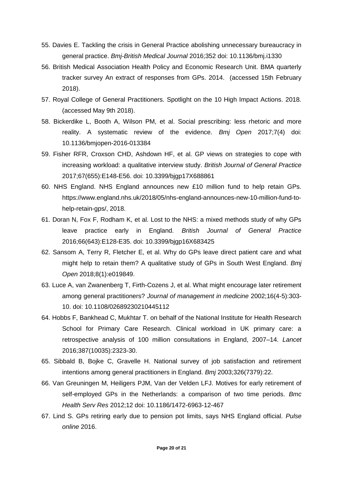- 55. Davies E. Tackling the crisis in General Practice abolishing unnecessary bureaucracy in general practice. *Bmj-British Medical Journal* 2016;352 doi: 10.1136/bmj.i1330
- 56. British Medical Association Health Policy and Economic Research Unit. BMA quarterly tracker survey An extract of responses from GPs. 2014. (accessed 15th February 2018).
- 57. Royal College of General Practitioners. Spotlight on the 10 High Impact Actions. 2018. (accessed May 9th 2018).
- 58. Bickerdike L, Booth A, Wilson PM, et al. Social prescribing: less rhetoric and more reality. A systematic review of the evidence. *Bmj Open* 2017;7(4) doi: 10.1136/bmjopen-2016-013384
- 59. Fisher RFR, Croxson CHD, Ashdown HF, et al. GP views on strategies to cope with increasing workload: a qualitative interview study. *British Journal of General Practice* 2017;67(655):E148-E56. doi: 10.3399/bjgp17X688861
- 60. NHS England. NHS England announces new £10 million fund to help retain GPs. https://www.england.nhs.uk/2018/05/nhs-england-announces-new-10-million-fund-tohelp-retain-gps/, 2018.
- 61. Doran N, Fox F, Rodham K, et al. Lost to the NHS: a mixed methods study of why GPs leave practice early in England. *British Journal of General Practice* 2016;66(643):E128-E35. doi: 10.3399/bjgp16X683425
- 62. Sansom A, Terry R, Fletcher E, et al. Why do GPs leave direct patient care and what might help to retain them? A qualitative study of GPs in South West England. *Bmj Open* 2018;8(1):e019849.
- 63. Luce A, van Zwanenberg T, Firth-Cozens J, et al. What might encourage later retirement among general practitioners? *Journal of management in medicine* 2002;16(4-5):303- 10. doi: 10.1108/02689230210445112
- 64. Hobbs F, Bankhead C, Mukhtar T. on behalf of the National Institute for Health Research School for Primary Care Research. Clinical workload in UK primary care: a retrospective analysis of 100 million consultations in England, 2007–14. *Lancet* 2016;387(10035):2323-30.
- 65. Sibbald B, Bojke C, Gravelle H. National survey of job satisfaction and retirement intentions among general practitioners in England. *Bmj* 2003;326(7379):22.
- 66. Van Greuningen M, Heiligers PJM, Van der Velden LFJ. Motives for early retirement of self-employed GPs in the Netherlands: a comparison of two time periods. *Bmc Health Serv Res* 2012;12 doi: 10.1186/1472-6963-12-467
- 67. Lind S. GPs retiring early due to pension pot limits, says NHS England official. *Pulse online* 2016.